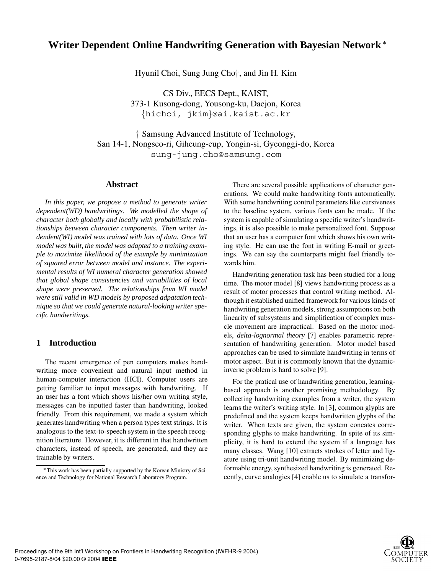# **Writer Dependent Online Handwriting Generation with Bayesian Network**

Hyunil Choi, Sung Jung Cho $\dagger$ , and Jin H. Kim

CS Div., EECS Dept., KAIST, 373-1 Kusong-dong, Yousong-ku, Daejon, Korea {hichoi, jkim}@ai.kaist.ac.kr

 Samsung Advanced Institute of Technology, San 14-1, Nongseo-ri, Giheung-eup, Yongin-si, Gyeonggi-do, Korea sung-jung.cho@samsung.com

## **Abstract**

*In this paper, we propose a method to generate writer dependent(WD) handwritings. We modelled the shape of character both globally and locally with probabilistic relationships between character components. Then writer indendent(WI) model was trained with lots of data. Once WI model was built, the model was adapted to a training example to maximize likelihood of the example by minimization of squared error between model and instance. The experimental results of WI numeral character generation showed that global shape consistencies and variabilities of local shape were preserved. The relationships from WI model were still valid in WD models by proposed adpatation technique so that we could generate natural-looking writer specific handwritings.*

# **1 Introduction**

The recent emergence of pen computers makes handwriting more convenient and natural input method in human-computer interaction (HCI). Computer users are getting familiar to input messages with handwriting. If an user has a font which shows his/her own writing style, messages can be inputted faster than handwriting, looked friendly. From this requirement, we made a system which generates handwriting when a person types text strings. It is analogous to the text-to-speech system in the speech recognition literature. However, it is different in that handwritten characters, instead of speech, are generated, and they are trainable by writers.

There are several possible applications of character generations. We could make handwriting fonts automatically. With some handwriting control parameters like cursiveness to the baseline system, various fonts can be made. If the system is capable of simulating a specific writer's handwritings, it is also possible to make personalized font. Suppose that an user has a computer font which shows his own writing style. He can use the font in writing E-mail or greetings. We can say the counterparts might feel friendly towards him.

Handwriting generation task has been studied for a long time. The motor model [8] views handwriting process as a result of motor processes that control writing method. Although it established unified framework for various kinds of handwriting generation models, strong assumptions on both linearity of subsystems and simplification of complex muscle movement are impractical. Based on the motor models, *delta-lognormal theory* [7] enables parametric representation of handwriting generation. Motor model based approaches can be used to simulate handwriting in terms of motor aspect. But it is commonly known that the dynamicinverse problem is hard to solve [9].

For the pratical use of handwriting generation, learningbased approach is another promising methodology. By collecting handwriting examples from a writer, the system learns the writer's writing style. In [3], common glyphs are predefined and the system keeps handwritten glyphs of the writer. When texts are given, the system concates corresponding glyphs to make handwriting. In spite of its simplicity, it is hard to extend the system if a language has many classes. Wang [10] extracts strokes of letter and ligature using tri-unit handwriting model. By minimizing deformable energy, synthesized handwriting is generated. Recently, curve analogies [4] enable us to simulate a transfor-



This work has been partially supported by the Korean Ministry of Science and Technology for National Research Laboratory Program.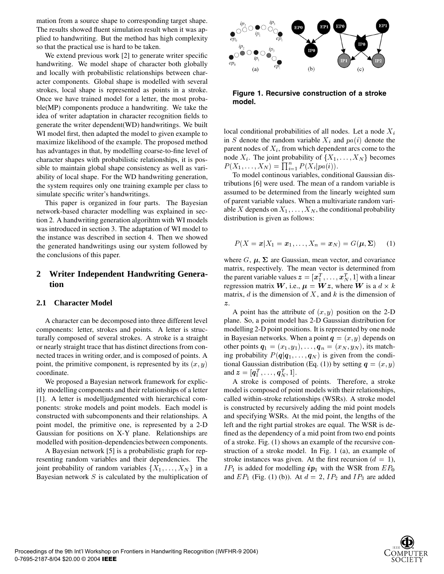mation from a source shape to corresponding target shape. The results showed fluent simulation result when it was applied to handwriting. But the method has high complexity so that the practical use is hard to be taken.

We extend previous work [2] to generate writer specific handwriting. We model shape of character both globally and locally with probabilistic relationships between character components. Global shape is modelled with several strokes, local shape is represented as points in a stroke. Once we have trained model for a letter, the most probable(MP) components produce a handwriting. We take the idea of writer adaptation in character recognition fields to generate the writer dependent(WD) handwritings. We built WI model first, then adapted the model to given example to maximize likelihood of the example. The proposed method has advantages in that, by modelling coarse-to-fine level of character shapes with probabilistic relationships, it is possible to maintain global shape consistency as well as variability of local shape. For the WD handwriting generation, the system requires only one training example per class to simulate specific writer's handwritings.

This paper is organized in four parts. The Bayesian network-based character modelling was explained in section 2. A handwriting generation algorihtm with WI models was introduced in section 3. The adaptation of WI model to the instance was described in section 4. Then we showed the generated handwritings using our system followed by the conclusions of this paper.

# **2 Writer Independent Handwriting Generation**

#### **2.1 Character Model**

A character can be decomposed into three different level components: letter, strokes and points. A letter is structurally composed of several strokes. A stroke is a straight or nearly straight trace that has distinct directions from connected traces in writing order, and is composed of points. A point, the primitive component, is represented by its  $(x, y)$ coordinate.

We proposed a Bayesian network framework for explicitly modelling components and their relationships of a letter [1]. A letter is modelljudgmented with hierarchical components: stroke models and point models. Each model is constructed with subcomponents and their relationships. A point model, the primitive one, is represented by a 2-D Gaussian for positions on X-Y plane. Relationships are modelled with position-dependencies between components.

A Bayesian network [5] is a probabilistic graph for representing random variables and their dependencies. The joint probability of random variables  $\{X_1, \ldots, X_N\}$  in a Bayesian network  $S$  is calculated by the multiplication of



**Figure 1. Recursive construction of a stroke model.**

local conditional probabilities of all nodes. Let a node  $X_i$ in S denote the random variable  $X_i$  and  $pa(i)$  denote the parent nodes of  $X_i$ , from which dependent arcs come to the node  $X_i$ . The joint probability of  $\{X_1, \ldots, X_N\}$  becomes  $P(X_1, ..., X_N) = \prod_{i=1}^n P(X_i|pa(i)).$ 

To model continous variables, conditional Gaussian distributions [6] were used. The mean of a random variable is assumed to be determined from the linearly weighted sum of parent variable values. When a multivariate random variable X depends on  $X_1, \ldots, X_N$ , the conditional probability distribution is given as follows:

$$
P(X = x | X_1 = x_1, \dots, X_n = x_N) = G(\boldsymbol{\mu}, \boldsymbol{\Sigma}) \qquad (1)
$$

where  $G, \mu, \Sigma$  are Gaussian, mean vector, and covariance matrix, respectively. The mean vector is determined from the parent variable values  $\boldsymbol{z} = [\boldsymbol{x}_1^T, \dots, \boldsymbol{x}_N^T, 1]$  with a linear regression matrix  $W$ , i.e.,  $\mu = Wz$ , where  $W$  is a  $d \times k$ matrix,  $d$  is the dimension of  $X$ , and  $k$  is the dimension of  $\boldsymbol{z}$  .

(a) tional Gaussian distribution (Eq. (1)) by setting  $q = (x, y)$ A point has the attribute of  $(x, y)$  position on the 2-D plane. So, a point model has 2-D Gaussian distribution for modelling 2-D point positions. It is represented by one node in Bayesian networks. When a point  $q = (x, y)$  depends on other points  $q_1 = (x_1, y_1), \dots, q_n = (x_N, y_N)$ , its matching probability  $P(q|q_1,\ldots,q_N)$  is given from the condiand  $\boldsymbol{z} = [\boldsymbol{q}_1^T, \dots, \boldsymbol{q}_N^T, 1].$ 

A stroke is composed of points. Therefore, a stroke model is composed of point models with their relationships, called within-stroke relationships (WSRs). A stroke model is constructed by recursively adding the mid point models and specifying WSRs. At the mid point, the lengths of the left and the right partial strokes are equal. The WSR is defined as the dependency of a mid point from two end points of a stroke. Fig. (1) shows an example of the recursive construction of a stroke model. In Fig. 1 (a), an example of stroke instances was given. At the first recursion  $(d = 1)$ ,  $IP_1$  is added for modelling  $ip_1$  with the WSR from  $EP_0$ and  $EP_1$  (Fig. (1) (b)). At  $d = 2$ ,  $IP_2$  and  $IP_3$  are added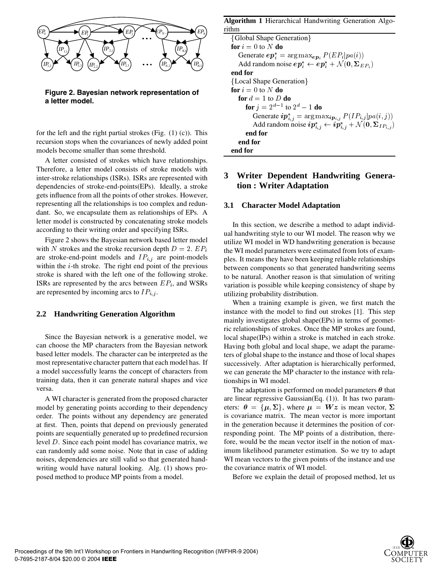

**Figure 2. Bayesian network representation of a letter model.**

for the left and the right partial strokes (Fig. (1) (c)). This recursion stops when the covariances of newly added point models become smaller than some threshold.

A letter consisted of strokes which have relationships. Therefore, a letter model consists of stroke models with inter-stroke relationships (ISRs). ISRs are represented with dependencies of stroke-end-points(EPs). Ideally, a stroke gets influence from all the points of other strokes. However, representing all the relationships is too complex and redundant. So, we encapsulate them as relationships of EPs. A letter model is constructed by concatenating stroke models according to their writing order and specifying ISRs.

Figure 2 shows the Bayesian network based letter model with N strokes and the stroke recursion depth  $D = 2$ .  $EP_i$ are stroke-end-point models and  $IP_{i,j}$  are point-models within the  $i$ -th stroke. The right end point of the previous stroke is shared with the left one of the following stroke. ISRs are represented by the arcs between  $EP_i$ , and WSRs are represented by incoming arcs to  $IP_{i,j}$ .

### **2.2 Handwriting Generation Algorithm**

Since the Bayesian network is a generative model, we can choose the MP characters from the Bayesian network based letter models. The character can be interpreted as the most representative character pattern that each model has. If a model successfully learns the concept of characters from training data, then it can generate natural shapes and vice versa.

A WI character is generated from the proposed character model by generating points according to their dependency order. The points without any dependency are generated at first. Then, points that depend on previously generated points are sequentially generated up to predefined recursion level  $D$ . Since each point model has covariance matrix, we can randomly add some noise. Note that in case of adding noises, dependencies are still valid so that generated handwriting would have natural looking. Alg. (1) shows proposed method to produce MP points from a model.

| <b>Algorithm 1 Hierarchical Handwriting Generation Algo-</b>                            |
|-----------------------------------------------------------------------------------------|
| rithm                                                                                   |
| {Global Shape Generation}                                                               |
| for $i=0$ to N do                                                                       |
| Generate $ep_i^* = \arg \max_{ep_i} P(EP_i pa(i))$                                      |
| Add random noise $ep_i^* \leftarrow ep_i^* + \mathcal{N}(0, \Sigma_{EP_i})$             |
| end for                                                                                 |
| {Local Shape Generation}                                                                |
| for $i = 0$ to N do                                                                     |
| for $d=1$ to D do                                                                       |
| <b>for</b> $i = 2^{d-1}$ to $2^d - 1$ <b>do</b>                                         |
| Generate $ip_{i,j}^* = \arg \max_{ip_{i,j}} P(IP_{i,j} pa(i,j))$                        |
| Add random noise $ip_{i,j}^* \leftarrow ip_{i,j}^* + \mathcal{N}(0, \Sigma_{IP_{i,j}})$ |
| end for                                                                                 |
| end for                                                                                 |
| end for                                                                                 |

# **3 Writer Dependent Handwriting Generation : Writer Adaptation**

#### **3.1 Character Model Adaptation**

In this section, we describe a method to adapt individual handwriting style to our WI model. The reason why we utilize WI model in WD handwriting generation is because the WI model parameters were estimated from lots of examples. It means they have been keeping reliable relationships between components so that generated handwriting seems to be natural. Another reason is that simulation of writing variation is possible while keeping consistency of shape by utilizing probability distribution.

When a training example is given, we first match the instance with the model to find out strokes [1]. This step mainly investigates global shape(EPs) in terms of geometric relationships of strokes. Once the MP strokes are found, local shape(IPs) within a stroke is matched in each stroke. Having both global and local shape, we adapt the parameters of global shape to the instance and those of local shapes successively. After adaptation is hierarchically performed, we can generate the MP character to the instance with relationships in WI model.

The adaptation is performed on model parameters  $\theta$  that are linear regressive Gaussian(Eq. (1)). It has two parameters:  $\theta = {\mu, \Sigma}$ , where  $\mu = Wz$  is mean vector,  $\Sigma$ is covariance matrix. The mean vector is more important in the generation because it determines the position of corresponding point. The MP points of a distribution, therefore, would be the mean vector itself in the notion of maximum likelihood parameter estimation. So we try to adapt WI mean vectors to the given points of the instance and use the covariance matrix of WI model.

Before we explain the detail of proposed method, let us

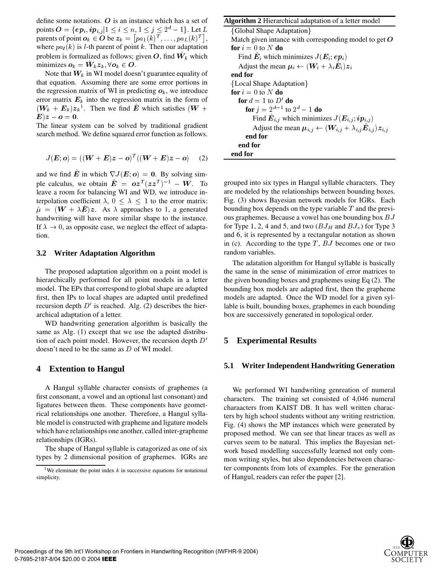define some notations.  $O$  is an instance which has a set of points  $O = \{ep_i, ip_{i,j} | 1 \leq i \leq n, 1 \leq j \leq 2^d - 1\}$ . Let  $L$  (Gk parents of point  $o_k \in O$  be  $z_k = [p a_1(k)^T, \ldots, p a_L(k)^T]$ , where  $pa_l(k)$  is *l*-th parent of point k. Then our adaptation problem is formalized as follows; given  $O$ , find  $W_k$  which minimizes  $o_k = W_k z_k, \forall o_k \in O$ .

Note that  $W_k$  in WI model doesn't guarantee equality of that equation. Assuming there are some error portions in the regression matrix of WI in predicting  $o_k$ , we introduce error matrix  $E_k$  into the regression matrix in the form of  $(W_k + E_k)z_k^1$ . Then we find  $\hat{E}$  which satisfies  $(W +$  for  $\boldsymbol{E})\boldsymbol{z}-\boldsymbol{o}=\boldsymbol{0}.$ 

The linear system can be solved by traditional gradient search method. We define squared error function as follows.

$$
J(E; o) = ((W + E)z - o)^{T}((W + E)z - o) \quad (2)
$$

and we find E in which  $\nabla J(E; \boldsymbol{o}) = 0$ . By solving simple calculus, we obtain  $E = oz^T(zz^T)^{-1} - W$ . To leave a room for balancing WI and WD, we introduce interpolation coefficient  $\lambda$ ,  $0 \leq \lambda \leq 1$  to the error matrix:  $\hat{\mu} = (\mathbf{W} + \lambda \mathbf{E})\mathbf{z}$ . As  $\lambda$  approaches to 1, a generated handwriting will have more similar shape to the instance. If  $\lambda \to 0$ , as opposite case, we neglect the effect of adaptation.

#### **3.2 Writer Adaptation Algorithm**

The proposed adaptation algorithm on a point model is hierarchically performed for all point models in a letter model. The EPs that correspond to global shape are adapted first, then IPs to local shapes are adapted until predefined recursion depth  $D'$  is reached. Alg. (2) describes the hierarchical adaptation of a letter.

WD handwriting generation algorithm is basically the same as Alg. (1) except that we use the adapted distribution of each point model. However, the recursion depth  $D'$ doesn't need to be the same as  $D$  of WI model.

#### **4 Extention to Hangul**

A Hangul syllable character consists of graphemes (a first consonant, a vowel and an optional last consonant) and ligatures between them. These components have geometrical relationships one another. Therefore, a Hangul syllable model is constructed with grapheme and ligature models which have relationships one another, called inter-grapheme relationships (IGRs).

The shape of Hangul syllable is catagorized as one of six types by 2 dimensional position of graphemes. IGRs are

#### **Algorithm 2** Hierarchical adaptation of a letter model

Global Shape Adaptation-Match given intance with corresponding model to get  $O$  $\mathbf{for} \ i = 0 \ \text{to} \ N \ \mathbf{do}$ Find  $\boldsymbol{E}_i$  which minimizes  $J(\boldsymbol{E}_i; \boldsymbol{e}\boldsymbol{p}_i)$ Adjust the mean  $\mu_i \leftarrow (\boldsymbol{W}_i + \lambda_i \boldsymbol{E}_i) \boldsymbol{z}_i$ **end for** Local Shape Adaptation- $\mathbf{for} \ i = 0 \ \text{to} \ N \ \mathbf{do}$  $\mathbf{for} \ d = 1 \ \mathbf{to} \ D' \ \mathbf{do}$ **for**  $j = 2^{d-1}$  to  $2^d - 1$  **do** Find  $E_{i,j}$  which minimizes  $J(E_{i,j}; ip_{i,j})$ Adjust the mean  $\mu_{i,j} \leftarrow (W_{i,j} + \lambda_{i,j} E_{i,j}) z_{i,j}$ **end for end for end for**

grouped into six types in Hangul syllable characters. They are modeled by the relationships between bounding boxes. Fig. (3) shows Bayesian network models for IGRs. Each bounding box depends on the type variable  $T$  and the previous graphemes. Because a vowel has one bounding box BJ for Type 1, 2, 4 and 5, and two  $(BJ_H$  and  $BJ_v$ ) for Type 3 and 6, it is represented by a rectangular notation as shown in (c). According to the type  $T$ ,  $BJ$  becomes one or two random variables.

The adatation algorithm for Hangul syllable is basically the same in the sense of minimization of error matrices to the given bounding boxes and graphemes using Eq (2). The bounding box models are adapted first, then the grapheme models are adapted. Once the WD model for a given syllable is built, bounding boxes, graphemes in each bounding box are successively generated in topological order.

## **5 Experimental Results**

#### **5.1 Writer Independent Handwriting Generation**

We performed WI handwriting genreation of numeral characters. The training set consisted of 4,046 numeral charaacters from KAIST DB. It has well written characters by high school students without any writing restriction. Fig. (4) shows the MP instances which were generated by proposed method. We can see that linear traces as well as curves seem to be natural. This implies the Bayesian network based modelling successfully learned not only common writing styles, but also dependencies between character components from lots of examples. For the generation of Hangul, readers can refer the paper [2].



<sup>&</sup>lt;sup>1</sup>We eleminate the point index  $k$  in successive equations for notational simplicity.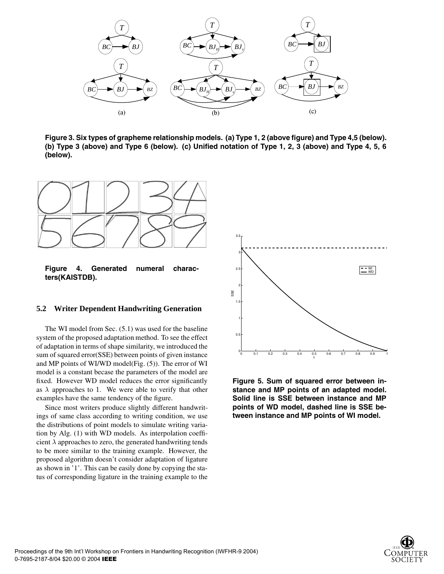

**Figure 3. Six types of grapheme relationship models. (a) Type 1, 2 (above figure) and Type 4,5 (below). (b) Type 3 (above) and Type 6 (below). (c) Unified notation of Type 1, 2, 3 (above) and Type 4, 5, 6 (below).**



**Figure 4. Generated numeral characters(KAISTDB).**

### **5.2 Writer Dependent Handwriting Generation**

The WI model from Sec. (5.1) was used for the baseline system of the proposed adaptation method. To see the effect of adaptation in terms of shape similarity, we introduced the sum of squared error(SSE) between points of given instance and MP points of WI/WD model(Fig. (5)). The error of WI model is a constant becase the parameters of the model are fixed. However WD model reduces the error significantly as  $\lambda$  approaches to 1. We were able to verify that other examples have the same tendency of the figure.

Since most writers produce slightly different handwritings of same class according to writing condition, we use the distributions of point models to simulate writing variation by Alg. (1) with WD models. As interpolation coefficient  $\lambda$  approaches to zero, the generated handwriting tends to be more similar to the training example. However, the proposed algorithm doesn't consider adaptation of ligature as shown in '1'. This can be easily done by copying the status of corresponding ligature in the training example to the



**Figure 5. Sum of squared error between instance and MP points of an adapted model. Solid line is SSE between instance and MP points of WD model, dashed line is SSE between instance and MP points of WI model.**